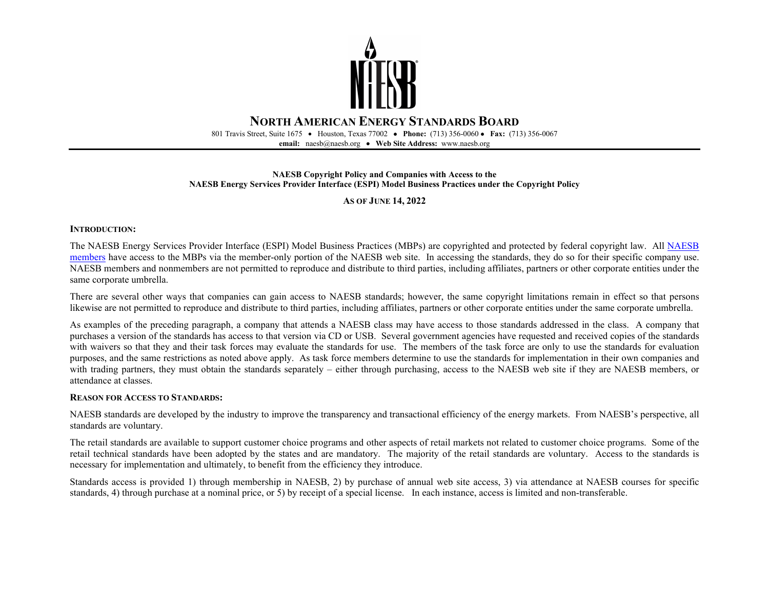

801 Travis Street, Suite 1675 • Houston, Texas 77002• **Phone:** (713) 356-0060 • **Fax:** (713) 356-0067 **email:** naesb@naesb.org • **Web Site Address:** www.naesb.org

#### **NAESB Copyright Policy and Companies with Access to the NAESB Energy Services Provider Interface (ESPI) Model Business Practices under the Copyright Policy**

#### **AS OF JUNE 14, 2022**

#### **INTRODUCTION:**

The NAESB Energy Services Provider Interface (ESPI) Model Business Practices (MBPs) are copyrighted and protected by federal copyright law. All [NAESB](https://www.naesb.org/pdf4/members_company.pdf)  [members](https://www.naesb.org/pdf4/members_company.pdf) have access to the MBPs via the member-only portion of the NAESB web site. In accessing the standards, they do so for their specific company use. NAESB members and nonmembers are not permitted to reproduce and distribute to third parties, including affiliates, partners or other corporate entities under the same corporate umbrella.

There are several other ways that companies can gain access to NAESB standards; however, the same copyright limitations remain in effect so that persons likewise are not permitted to reproduce and distribute to third parties, including affiliates, partners or other corporate entities under the same corporate umbrella.

As examples of the preceding paragraph, a company that attends a NAESB class may have access to those standards addressed in the class. A company that purchases a version of the standards has access to that version via CD or USB. Several government agencies have requested and received copies of the standards with waivers so that they and their task forces may evaluate the standards for use. The members of the task force are only to use the standards for evaluation purposes, and the same restrictions as noted above apply. As task force members determine to use the standards for implementation in their own companies and with trading partners, they must obtain the standards separately – either through purchasing, access to the NAESB web site if they are NAESB members, or attendance at classes.

#### **REASON FOR ACCESS TO STANDARDS:**

NAESB standards are developed by the industry to improve the transparency and transactional efficiency of the energy markets. From NAESB's perspective, all standards are voluntary.

The retail standards are available to support customer choice programs and other aspects of retail markets not related to customer choice programs. Some of the retail technical standards have been adopted by the states and are mandatory. The majority of the retail standards are voluntary. Access to the standards is necessary for implementation and ultimately, to benefit from the efficiency they introduce.

Standards access is provided 1) through membership in NAESB, 2) by purchase of annual web site access, 3) via attendance at NAESB courses for specific standards, 4) through purchase at a nominal price, or 5) by receipt of a special license. In each instance, access is limited and non-transferable.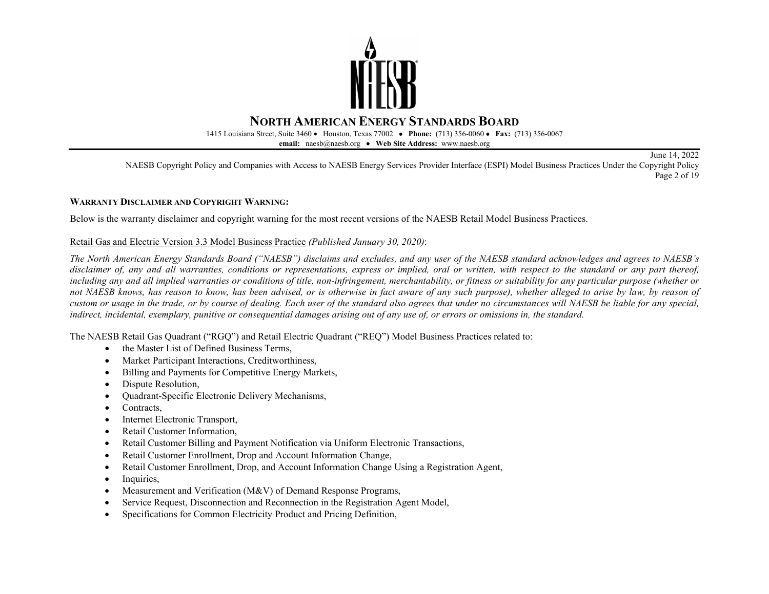

1415 Louisiana Street, Suite 3460 • Houston, Texas 77002• **Phone:** (713) 356-0060 • **Fax:** (713) 356-0067

**email:** naesb@naesb.org • **Web Site Address:** www.naesb.org

June 14, 2022 NAESB Copyright Policy and Companies with Access to NAESB Energy Services Provider Interface (ESPI) Model Business Practices Under the Copyright Policy Page 2 of 19

#### **WARRANTY DISCLAIMER AND COPYRIGHT WARNING:**

Below is the warranty disclaimer and copyright warning for the most recent versions of the NAESB Retail Model Business Practices.

#### Retail Gas and Electric Version 3.3 Model Business Practice *(Published January 30, 2020)*:

*The North American Energy Standards Board ("NAESB") disclaims and excludes, and any user of the NAESB standard acknowledges and agrees to NAESB's disclaimer of, any and all warranties, conditions or representations, express or implied, oral or written, with respect to the standard or any part thereof, including any and all implied warranties or conditions of title, non-infringement, merchantability, or fitness or suitability for any particular purpose (whether or not NAESB knows, has reason to know, has been advised, or is otherwise in fact aware of any such purpose), whether alleged to arise by law, by reason of custom or usage in the trade, or by course of dealing. Each user of the standard also agrees that under no circumstances will NAESB be liable for any special, indirect, incidental, exemplary, punitive or consequential damages arising out of any use of, or errors or omissions in, the standard.* 

The NAESB Retail Gas Quadrant ("RGQ") and Retail Electric Quadrant ("REQ") Model Business Practices related to:

- the Master List of Defined Business Terms,
- Market Participant Interactions, Creditworthiness,
- Billing and Payments for Competitive Energy Markets,
- Dispute Resolution,
- Quadrant-Specific Electronic Delivery Mechanisms,
- Contracts,
- Internet Electronic Transport,
- Retail Customer Information,
- Retail Customer Billing and Payment Notification via Uniform Electronic Transactions,
- Retail Customer Enrollment, Drop and Account Information Change,
- Retail Customer Enrollment, Drop, and Account Information Change Using a Registration Agent,
- Inquiries.
- Measurement and Verification (M&V) of Demand Response Programs,
- Service Request, Disconnection and Reconnection in the Registration Agent Model,
- Specifications for Common Electricity Product and Pricing Definition,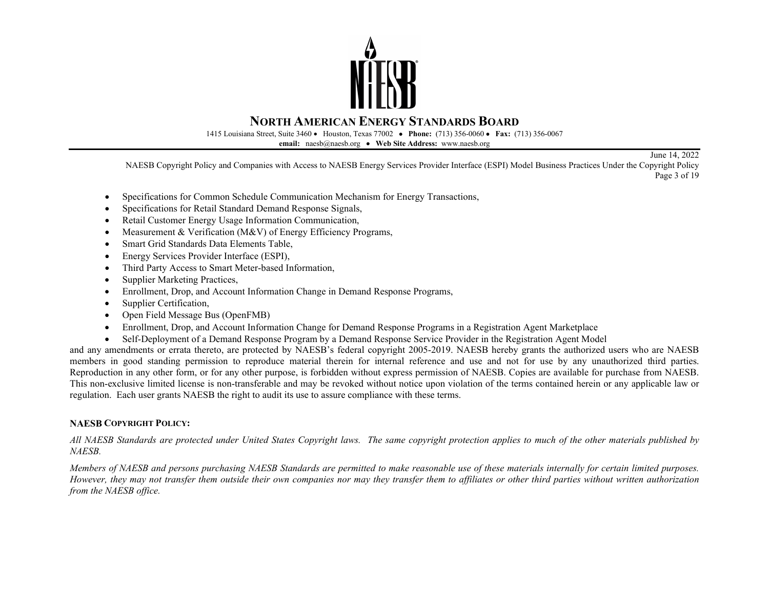

1415 Louisiana Street, Suite 3460 • Houston, Texas 77002• **Phone:** (713) 356-0060 • **Fax:** (713) 356-0067

**email:** naesb@naesb.org • **Web Site Address:** www.naesb.org

NAESB Copyright Policy and Companies with Access to NAESB Energy Services Provider Interface (ESPI) Model Business Practices Under the Copyright Policy Page 3 of 19

June 14, 2022

• Specifications for Common Schedule Communication Mechanism for Energy Transactions,

- Specifications for Retail Standard Demand Response Signals,
- Retail Customer Energy Usage Information Communication,
- Measurement & Verification (M&V) of Energy Efficiency Programs,
- Smart Grid Standards Data Elements Table,
- Energy Services Provider Interface (ESPI),
- Third Party Access to Smart Meter-based Information,
- Supplier Marketing Practices,
- Enrollment, Drop, and Account Information Change in Demand Response Programs,
- Supplier Certification,
- Open Field Message Bus (OpenFMB)
- Enrollment, Drop, and Account Information Change for Demand Response Programs in a Registration Agent Marketplace
- Self-Deployment of a Demand Response Program by a Demand Response Service Provider in the Registration Agent Model

and any amendments or errata thereto, are protected by NAESB's federal copyright 2005-2019. NAESB hereby grants the authorized users who are NAESB members in good standing permission to reproduce material therein for internal reference and use and not for use by any unauthorized third parties. Reproduction in any other form, or for any other purpose, is forbidden without express permission of NAESB. Copies are available for purchase from NAESB. This non-exclusive limited license is non-transferable and may be revoked without notice upon violation of the terms contained herein or any applicable law or regulation. Each user grants NAESB the right to audit its use to assure compliance with these terms.

#### **NAESB COPYRIGHT POLICY:**

*All NAESB Standards are protected under United States Copyright laws. The same copyright protection applies to much of the other materials published by NAESB.*

*Members of NAESB and persons purchasing NAESB Standards are permitted to make reasonable use of these materials internally for certain limited purposes. However, they may not transfer them outside their own companies nor may they transfer them to affiliates or other third parties without written authorization from the NAESB office.*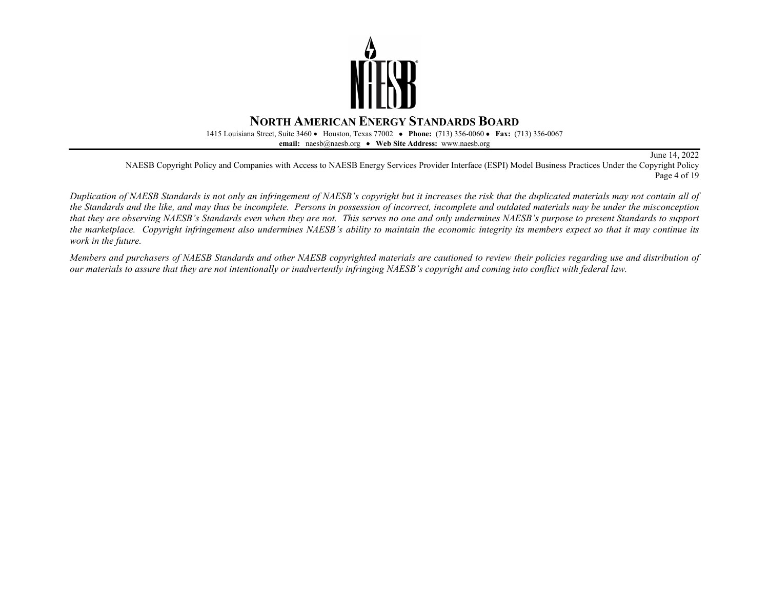

1415 Louisiana Street, Suite 3460 • Houston, Texas 77002• **Phone:** (713) 356-0060 • **Fax:** (713) 356-0067

**email:** naesb@naesb.org • **Web Site Address:** www.naesb.org

June 14, 2022

NAESB Copyright Policy and Companies with Access to NAESB Energy Services Provider Interface (ESPI) Model Business Practices Under the Copyright Policy Page 4 of 19

*Duplication of NAESB Standards is not only an infringement of NAESB's copyright but it increases the risk that the duplicated materials may not contain all of the Standards and the like, and may thus be incomplete. Persons in possession of incorrect, incomplete and outdated materials may be under the misconception that they are observing NAESB's Standards even when they are not. This serves no one and only undermines NAESB's purpose to present Standards to support the marketplace. Copyright infringement also undermines NAESB's ability to maintain the economic integrity its members expect so that it may continue its work in the future.*

*Members and purchasers of NAESB Standards and other NAESB copyrighted materials are cautioned to review their policies regarding use and distribution of our materials to assure that they are not intentionally or inadvertently infringing NAESB's copyright and coming into conflict with federal law.*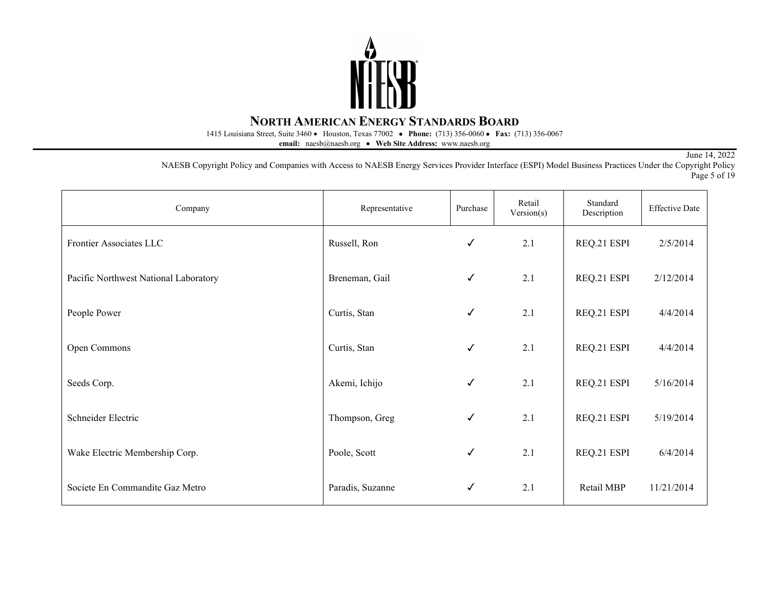

1415 Louisiana Street, Suite 3460 • Houston, Texas 77002• **Phone:** (713) 356-0060 • **Fax:** (713) 356-0067

**email:** naesb@naesb.org • **Web Site Address:** www.naesb.org

June 14, 2022

NAESB Copyright Policy and Companies with Access to NAESB Energy Services Provider Interface (ESPI) Model Business Practices Under the Copyright Policy Page 5 of 19

| Company                               | Representative   | Purchase     | Retail<br>Version(s) | Standard<br>Description | <b>Effective Date</b> |
|---------------------------------------|------------------|--------------|----------------------|-------------------------|-----------------------|
| Frontier Associates LLC               | Russell, Ron     | $\checkmark$ | 2.1                  | REQ.21 ESPI             | 2/5/2014              |
| Pacific Northwest National Laboratory | Breneman, Gail   | $\checkmark$ | 2.1                  | REQ.21 ESPI             | 2/12/2014             |
| People Power                          | Curtis, Stan     | $\checkmark$ | 2.1                  | REQ.21 ESPI             | 4/4/2014              |
| Open Commons                          | Curtis, Stan     | $\checkmark$ | 2.1                  | REQ.21 ESPI             | 4/4/2014              |
| Seeds Corp.                           | Akemi, Ichijo    | $\checkmark$ | 2.1                  | REQ.21 ESPI             | 5/16/2014             |
| Schneider Electric                    | Thompson, Greg   | $\checkmark$ | 2.1                  | REQ.21 ESPI             | 5/19/2014             |
| Wake Electric Membership Corp.        | Poole, Scott     | $\checkmark$ | 2.1                  | REQ.21 ESPI             | 6/4/2014              |
| Societe En Commandite Gaz Metro       | Paradis, Suzanne | $\checkmark$ | 2.1                  | Retail MBP              | 11/21/2014            |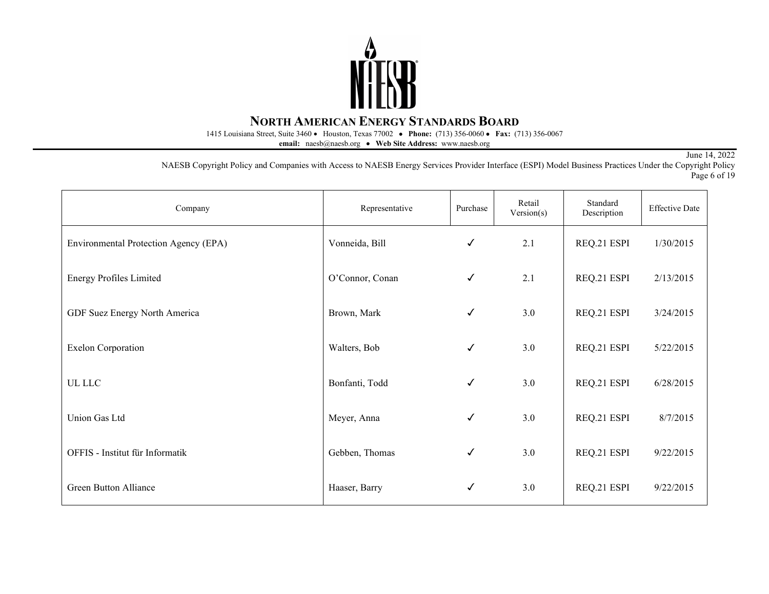

1415 Louisiana Street, Suite 3460 • Houston, Texas 77002• **Phone:** (713) 356-0060 • **Fax:** (713) 356-0067

**email:** naesb@naesb.org • **Web Site Address:** www.naesb.org

June 14, 2022

NAESB Copyright Policy and Companies with Access to NAESB Energy Services Provider Interface (ESPI) Model Business Practices Under the Copyright Policy Page 6 of 19

| Company                               | Representative  | Purchase     | Retail<br>Version(s) | Standard<br>Description | <b>Effective Date</b> |
|---------------------------------------|-----------------|--------------|----------------------|-------------------------|-----------------------|
| Environmental Protection Agency (EPA) | Vonneida, Bill  | ✓            | 2.1                  | REQ.21 ESPI             | 1/30/2015             |
| <b>Energy Profiles Limited</b>        | O'Connor, Conan | $\checkmark$ | 2.1                  | REQ.21 ESPI             | 2/13/2015             |
| GDF Suez Energy North America         | Brown, Mark     | ✓            | 3.0                  | REQ.21 ESPI             | 3/24/2015             |
| <b>Exelon Corporation</b>             | Walters, Bob    | $\checkmark$ | 3.0                  | REQ.21 ESPI             | 5/22/2015             |
| UL LLC                                | Bonfanti, Todd  | ✓            | 3.0                  | REQ.21 ESPI             | 6/28/2015             |
| <b>Union Gas Ltd</b>                  | Meyer, Anna     | $\checkmark$ | 3.0                  | REQ.21 ESPI             | 8/7/2015              |
| OFFIS - Institut für Informatik       | Gebben, Thomas  | $\checkmark$ | 3.0                  | REQ.21 ESPI             | 9/22/2015             |
| Green Button Alliance                 | Haaser, Barry   | ✓            | 3.0                  | REQ.21 ESPI             | 9/22/2015             |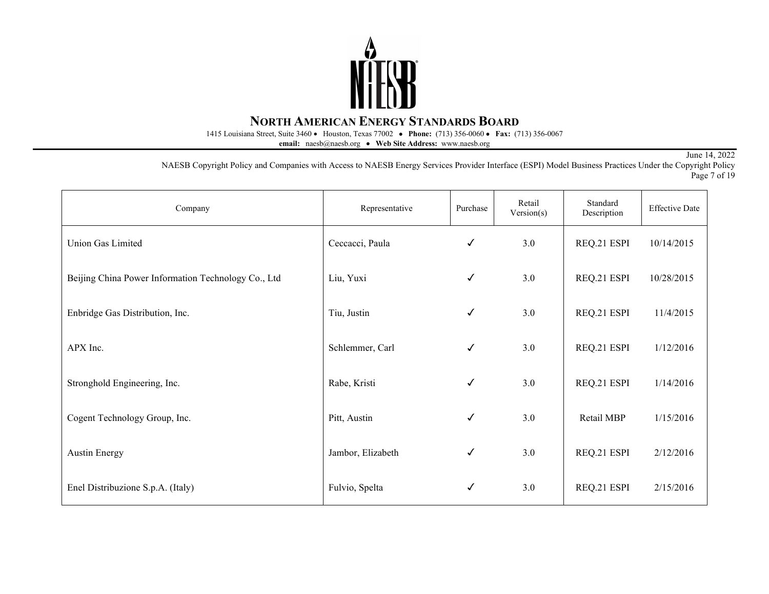

1415 Louisiana Street, Suite 3460 • Houston, Texas 77002• **Phone:** (713) 356-0060 • **Fax:** (713) 356-0067

**email:** naesb@naesb.org • **Web Site Address:** www.naesb.org

June 14, 2022

NAESB Copyright Policy and Companies with Access to NAESB Energy Services Provider Interface (ESPI) Model Business Practices Under the Copyright Policy Page 7 of 19

| Company                                             | Representative    | Purchase     | Retail<br>Version(s) | Standard<br>Description | <b>Effective Date</b> |
|-----------------------------------------------------|-------------------|--------------|----------------------|-------------------------|-----------------------|
| Union Gas Limited                                   | Ceccacci, Paula   | ✓            | 3.0                  | REQ.21 ESPI             | 10/14/2015            |
| Beijing China Power Information Technology Co., Ltd | Liu, Yuxi         | $\checkmark$ | 3.0                  | REQ.21 ESPI             | 10/28/2015            |
| Enbridge Gas Distribution, Inc.                     | Tiu, Justin       | ✓            | 3.0                  | REQ.21 ESPI             | 11/4/2015             |
| APX Inc.                                            | Schlemmer, Carl   | $\checkmark$ | 3.0                  | REQ.21 ESPI             | 1/12/2016             |
| Stronghold Engineering, Inc.                        | Rabe, Kristi      | $\checkmark$ | 3.0                  | REQ.21 ESPI             | 1/14/2016             |
| Cogent Technology Group, Inc.                       | Pitt, Austin      | $\checkmark$ | 3.0                  | Retail MBP              | 1/15/2016             |
| <b>Austin Energy</b>                                | Jambor, Elizabeth | $\checkmark$ | 3.0                  | REQ.21 ESPI             | 2/12/2016             |
| Enel Distribuzione S.p.A. (Italy)                   | Fulvio, Spelta    | ✓            | 3.0                  | REQ.21 ESPI             | 2/15/2016             |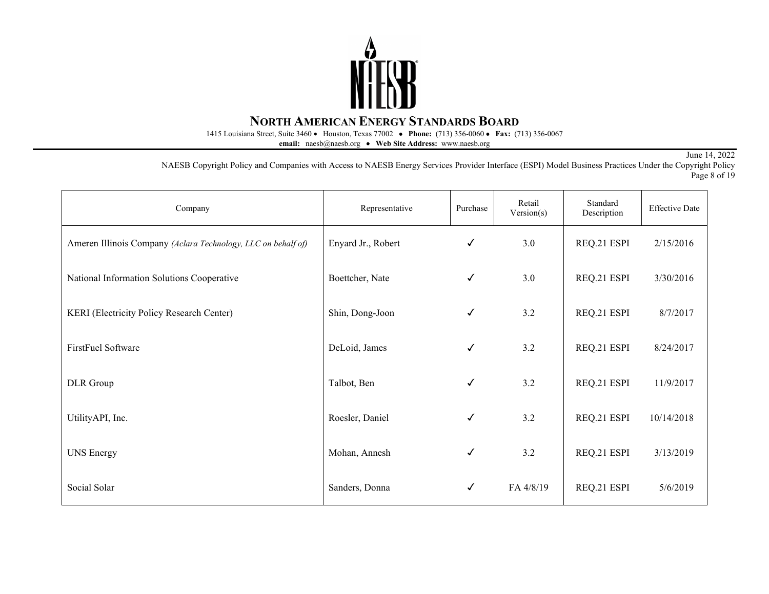

1415 Louisiana Street, Suite 3460 • Houston, Texas 77002• **Phone:** (713) 356-0060 • **Fax:** (713) 356-0067

**email:** naesb@naesb.org • **Web Site Address:** www.naesb.org

June 14, 2022

NAESB Copyright Policy and Companies with Access to NAESB Energy Services Provider Interface (ESPI) Model Business Practices Under the Copyright Policy Page 8 of 19

| Company                                                       | Representative     | Purchase     | Retail<br>Version(s) | Standard<br>Description | <b>Effective Date</b> |
|---------------------------------------------------------------|--------------------|--------------|----------------------|-------------------------|-----------------------|
| Ameren Illinois Company (Aclara Technology, LLC on behalf of) | Enyard Jr., Robert | $\checkmark$ | 3.0                  | REQ.21 ESPI             | 2/15/2016             |
| National Information Solutions Cooperative                    | Boettcher, Nate    | $\checkmark$ | 3.0                  | REQ.21 ESPI             | 3/30/2016             |
| KERI (Electricity Policy Research Center)                     | Shin, Dong-Joon    | $\checkmark$ | 3.2                  | REQ.21 ESPI             | 8/7/2017              |
| FirstFuel Software                                            | DeLoid, James      | $\checkmark$ | 3.2                  | REQ.21 ESPI             | 8/24/2017             |
| DLR Group                                                     | Talbot, Ben        | $\checkmark$ | 3.2                  | REQ.21 ESPI             | 11/9/2017             |
| UtilityAPI, Inc.                                              | Roesler, Daniel    | $\checkmark$ | 3.2                  | REQ.21 ESPI             | 10/14/2018            |
| <b>UNS Energy</b>                                             | Mohan, Annesh      | $\checkmark$ | 3.2                  | REQ.21 ESPI             | 3/13/2019             |
| Social Solar                                                  | Sanders, Donna     | $\checkmark$ | FA 4/8/19            | REQ.21 ESPI             | 5/6/2019              |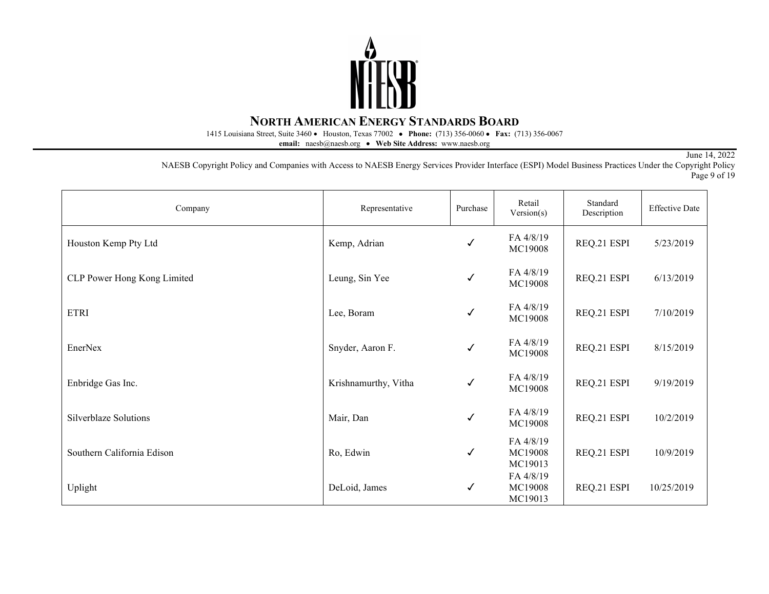

1415 Louisiana Street, Suite 3460 • Houston, Texas 77002• **Phone:** (713) 356-0060 • **Fax:** (713) 356-0067

**email:** naesb@naesb.org • **Web Site Address:** www.naesb.org

June 14, 2022

NAESB Copyright Policy and Companies with Access to NAESB Energy Services Provider Interface (ESPI) Model Business Practices Under the Copyright Policy Page 9 of 19

| Company                     | Representative       | Purchase     | Retail<br>Version(s)            | Standard<br>Description | <b>Effective Date</b> |
|-----------------------------|----------------------|--------------|---------------------------------|-------------------------|-----------------------|
| Houston Kemp Pty Ltd        | Kemp, Adrian         | ✓            | FA 4/8/19<br>MC19008            | REQ.21 ESPI             | 5/23/2019             |
| CLP Power Hong Kong Limited | Leung, Sin Yee       | √            | FA 4/8/19<br>MC19008            | REQ.21 ESPI             | 6/13/2019             |
| <b>ETRI</b>                 | Lee, Boram           | ✓            | FA 4/8/19<br>MC19008            | REQ.21 ESPI             | 7/10/2019             |
| EnerNex                     | Snyder, Aaron F.     | ✓            | FA 4/8/19<br>MC19008            | REQ.21 ESPI             | 8/15/2019             |
| Enbridge Gas Inc.           | Krishnamurthy, Vitha | ✓            | FA 4/8/19<br>MC19008            | REQ.21 ESPI             | 9/19/2019             |
| Silverblaze Solutions       | Mair, Dan            | $\checkmark$ | FA 4/8/19<br>MC19008            | REQ.21 ESPI             | 10/2/2019             |
| Southern California Edison  | Ro, Edwin            | ✓            | FA 4/8/19<br>MC19008<br>MC19013 | REQ.21 ESPI             | 10/9/2019             |
| Uplight                     | DeLoid, James        | ✓            | FA 4/8/19<br>MC19008<br>MC19013 | REQ.21 ESPI             | 10/25/2019            |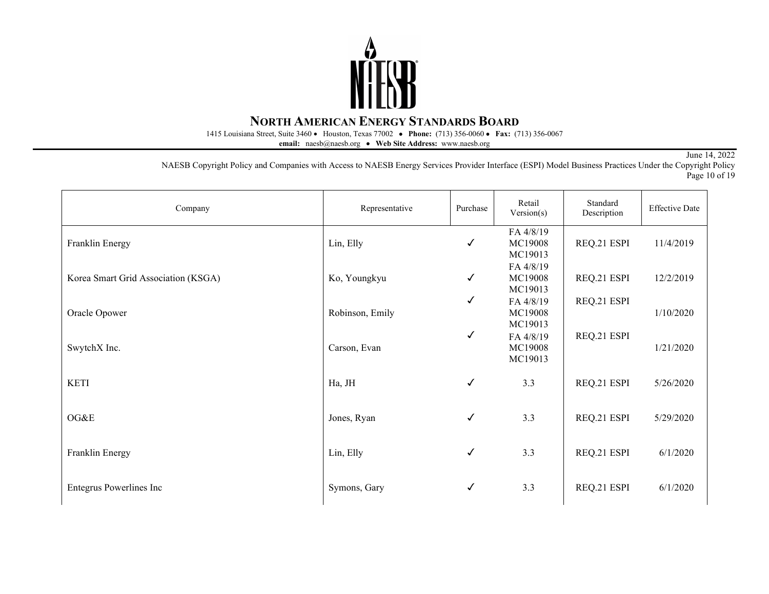

1415 Louisiana Street, Suite 3460 • Houston, Texas 77002• **Phone:** (713) 356-0060 • **Fax:** (713) 356-0067

**email:** naesb@naesb.org • **Web Site Address:** www.naesb.org

June 14, 2022

NAESB Copyright Policy and Companies with Access to NAESB Energy Services Provider Interface (ESPI) Model Business Practices Under the Copyright Policy Page 10 of 19

| Company                             | Representative  | Purchase     | Retail<br>Version(s)            | Standard<br>Description | <b>Effective Date</b> |
|-------------------------------------|-----------------|--------------|---------------------------------|-------------------------|-----------------------|
| Franklin Energy                     | Lin, Elly       | $\checkmark$ | FA 4/8/19<br>MC19008<br>MC19013 | REQ.21 ESPI             | 11/4/2019             |
| Korea Smart Grid Association (KSGA) | Ko, Youngkyu    | $\checkmark$ | FA 4/8/19<br>MC19008<br>MC19013 | REQ.21 ESPI             | 12/2/2019             |
| Oracle Opower                       | Robinson, Emily | √            | FA 4/8/19<br>MC19008<br>MC19013 | REQ.21 ESPI             | 1/10/2020             |
| SwytchX Inc.                        | Carson, Evan    | $\checkmark$ | FA 4/8/19<br>MC19008<br>MC19013 | REQ.21 ESPI             | 1/21/2020             |
| <b>KETI</b>                         | Ha, JH          | $\checkmark$ | 3.3                             | REQ.21 ESPI             | 5/26/2020             |
| OG&E                                | Jones, Ryan     | $\checkmark$ | 3.3                             | REQ.21 ESPI             | 5/29/2020             |
| Franklin Energy                     | Lin, Elly       | ✓            | 3.3                             | REQ.21 ESPI             | 6/1/2020              |
| Entegrus Powerlines Inc             | Symons, Gary    | ✓            | 3.3                             | REQ.21 ESPI             | 6/1/2020              |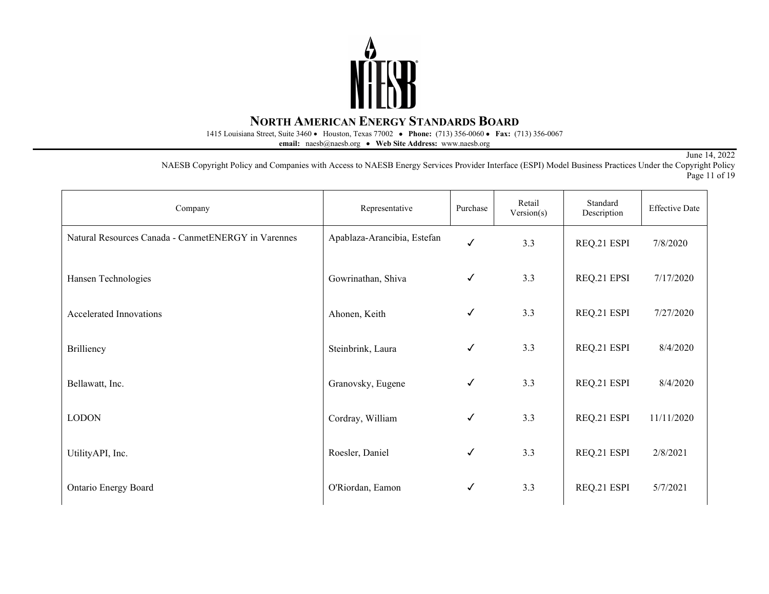

1415 Louisiana Street, Suite 3460 • Houston, Texas 77002• **Phone:** (713) 356-0060 • **Fax:** (713) 356-0067

**email:** naesb@naesb.org • **Web Site Address:** www.naesb.org

June 14, 2022

NAESB Copyright Policy and Companies with Access to NAESB Energy Services Provider Interface (ESPI) Model Business Practices Under the Copyright Policy Page 11 of 19

| Company                                             | Representative              | Purchase     | Retail<br>Version(s) | Standard<br>Description | <b>Effective Date</b> |
|-----------------------------------------------------|-----------------------------|--------------|----------------------|-------------------------|-----------------------|
| Natural Resources Canada - CanmetENERGY in Varennes | Apablaza-Arancibia, Estefan | ✓            | 3.3                  | REQ.21 ESPI             | 7/8/2020              |
| Hansen Technologies                                 | Gowrinathan, Shiva          | $\checkmark$ | 3.3                  | REQ.21 EPSI             | 7/17/2020             |
| Accelerated Innovations                             | Ahonen, Keith               | $\checkmark$ | 3.3                  | REQ.21 ESPI             | 7/27/2020             |
| Brilliency                                          | Steinbrink, Laura           | ✓            | 3.3                  | REQ.21 ESPI             | 8/4/2020              |
| Bellawatt, Inc.                                     | Granovsky, Eugene           | $\checkmark$ | 3.3                  | REQ.21 ESPI             | 8/4/2020              |
| <b>LODON</b>                                        | Cordray, William            | ✓            | 3.3                  | REQ.21 ESPI             | 11/11/2020            |
| UtilityAPI, Inc.                                    | Roesler, Daniel             | ✓            | 3.3                  | REQ.21 ESPI             | 2/8/2021              |
| Ontario Energy Board                                | O'Riordan, Eamon            | ✓            | 3.3                  | REQ.21 ESPI             | 5/7/2021              |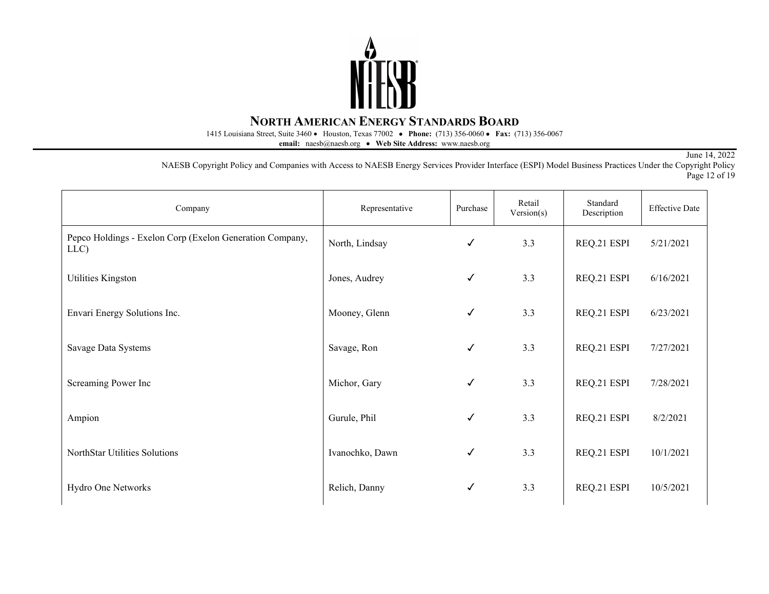

1415 Louisiana Street, Suite 3460 • Houston, Texas 77002• **Phone:** (713) 356-0060 • **Fax:** (713) 356-0067

**email:** naesb@naesb.org • **Web Site Address:** www.naesb.org

June 14, 2022

NAESB Copyright Policy and Companies with Access to NAESB Energy Services Provider Interface (ESPI) Model Business Practices Under the Copyright Policy Page 12 of 19

| Company                                                          | Representative  | Purchase     | Retail<br>Version(s) | Standard<br>Description | <b>Effective Date</b> |
|------------------------------------------------------------------|-----------------|--------------|----------------------|-------------------------|-----------------------|
| Pepco Holdings - Exelon Corp (Exelon Generation Company,<br>LLC) | North, Lindsay  | $\checkmark$ | 3.3                  | REQ.21 ESPI             | 5/21/2021             |
| Utilities Kingston                                               | Jones, Audrey   | $\checkmark$ | 3.3                  | REQ.21 ESPI             | 6/16/2021             |
| Envari Energy Solutions Inc.                                     | Mooney, Glenn   | $\checkmark$ | 3.3                  | REQ.21 ESPI             | 6/23/2021             |
| Savage Data Systems                                              | Savage, Ron     | $\checkmark$ | 3.3                  | REQ.21 ESPI             | 7/27/2021             |
| Screaming Power Inc                                              | Michor, Gary    | $\checkmark$ | 3.3                  | REQ.21 ESPI             | 7/28/2021             |
| Ampion                                                           | Gurule, Phil    | $\checkmark$ | 3.3                  | REQ.21 ESPI             | 8/2/2021              |
| NorthStar Utilities Solutions                                    | Ivanochko, Dawn | $\checkmark$ | 3.3                  | REQ.21 ESPI             | 10/1/2021             |
| Hydro One Networks                                               | Relich, Danny   | $\checkmark$ | 3.3                  | REQ.21 ESPI             | 10/5/2021             |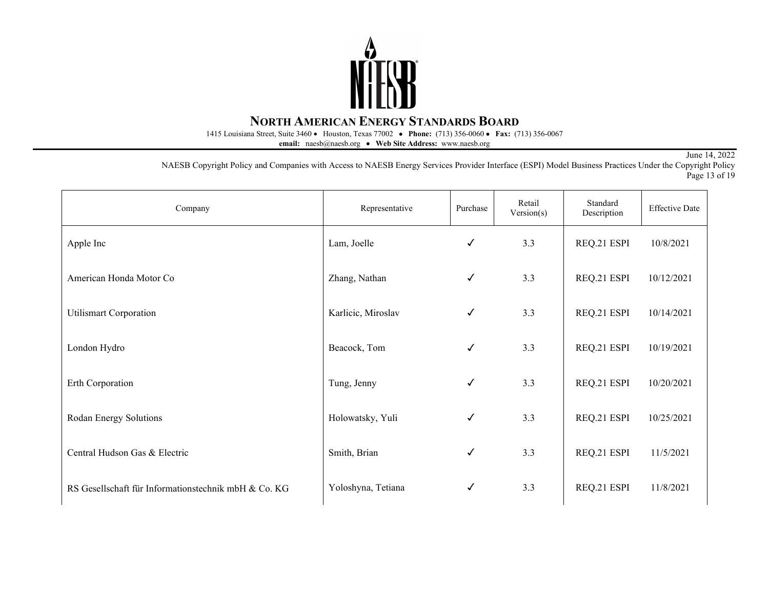

1415 Louisiana Street, Suite 3460 • Houston, Texas 77002• **Phone:** (713) 356-0060 • **Fax:** (713) 356-0067

**email:** naesb@naesb.org • **Web Site Address:** www.naesb.org

June 14, 2022

NAESB Copyright Policy and Companies with Access to NAESB Energy Services Provider Interface (ESPI) Model Business Practices Under the Copyright Policy Page 13 of 19

| Company                                              | Representative     | Purchase | Retail<br>Version(s) | Standard<br>Description | <b>Effective Date</b> |
|------------------------------------------------------|--------------------|----------|----------------------|-------------------------|-----------------------|
| Apple Inc                                            | Lam, Joelle        | ✓        | 3.3                  | REQ.21 ESPI             | 10/8/2021             |
| American Honda Motor Co                              | Zhang, Nathan      | ✓        | 3.3                  | REQ.21 ESPI             | 10/12/2021            |
| <b>Utilismart Corporation</b>                        | Karlicic, Miroslav | ✓        | 3.3                  | REQ.21 ESPI             | 10/14/2021            |
| London Hydro                                         | Beacock, Tom       | ✓        | 3.3                  | REQ.21 ESPI             | 10/19/2021            |
| Erth Corporation                                     | Tung, Jenny        | ✓        | 3.3                  | REQ.21 ESPI             | 10/20/2021            |
| Rodan Energy Solutions                               | Holowatsky, Yuli   | ✓        | 3.3                  | REQ.21 ESPI             | 10/25/2021            |
| Central Hudson Gas & Electric                        | Smith, Brian       | ✓        | 3.3                  | REQ.21 ESPI             | 11/5/2021             |
| RS Gesellschaft für Informationstechnik mbH & Co. KG | Yoloshyna, Tetiana | ✓        | 3.3                  | REQ.21 ESPI             | 11/8/2021             |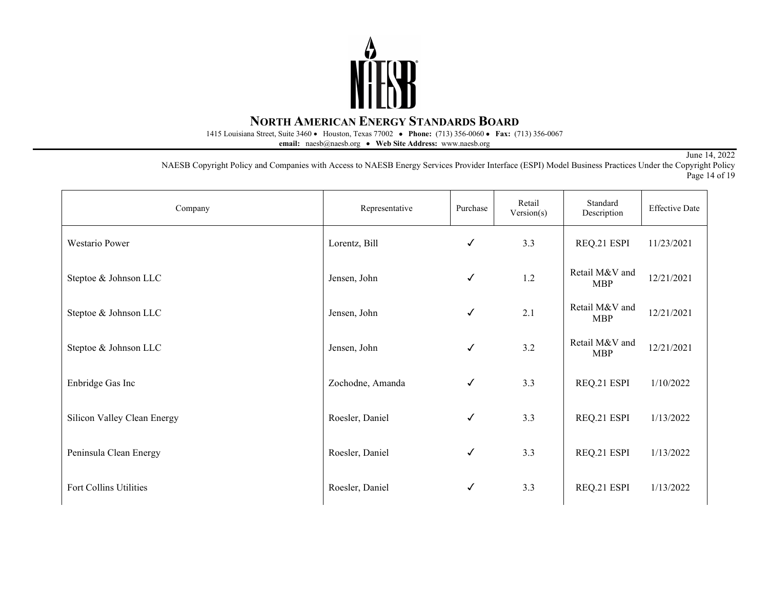

1415 Louisiana Street, Suite 3460 • Houston, Texas 77002• **Phone:** (713) 356-0060 • **Fax:** (713) 356-0067

**email:** naesb@naesb.org • **Web Site Address:** www.naesb.org

June 14, 2022

NAESB Copyright Policy and Companies with Access to NAESB Energy Services Provider Interface (ESPI) Model Business Practices Under the Copyright Policy Page 14 of 19

| Company                     | Representative   | Purchase     | Retail<br>Version(s) | Standard<br>Description      | <b>Effective Date</b> |
|-----------------------------|------------------|--------------|----------------------|------------------------------|-----------------------|
| Westario Power              | Lorentz, Bill    | $\checkmark$ | 3.3                  | REQ.21 ESPI                  | 11/23/2021            |
| Steptoe & Johnson LLC       | Jensen, John     | $\checkmark$ | 1.2                  | Retail M&V and<br><b>MBP</b> | 12/21/2021            |
| Steptoe & Johnson LLC       | Jensen, John     | $\checkmark$ | 2.1                  | Retail M&V and<br><b>MBP</b> | 12/21/2021            |
| Steptoe & Johnson LLC       | Jensen, John     | $\checkmark$ | 3.2                  | Retail M&V and<br><b>MBP</b> | 12/21/2021            |
| Enbridge Gas Inc            | Zochodne, Amanda | $\checkmark$ | 3.3                  | REQ.21 ESPI                  | 1/10/2022             |
| Silicon Valley Clean Energy | Roesler, Daniel  | $\checkmark$ | 3.3                  | REQ.21 ESPI                  | 1/13/2022             |
| Peninsula Clean Energy      | Roesler, Daniel  | $\checkmark$ | 3.3                  | REQ.21 ESPI                  | 1/13/2022             |
| Fort Collins Utilities      | Roesler, Daniel  | ✓            | 3.3                  | REQ.21 ESPI                  | 1/13/2022             |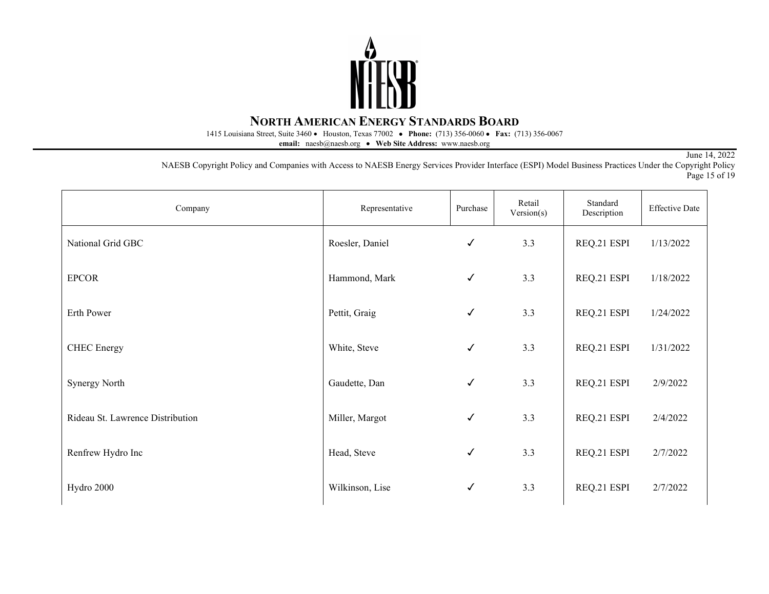

1415 Louisiana Street, Suite 3460 • Houston, Texas 77002• **Phone:** (713) 356-0060 • **Fax:** (713) 356-0067

**email:** naesb@naesb.org • **Web Site Address:** www.naesb.org

June 14, 2022

NAESB Copyright Policy and Companies with Access to NAESB Energy Services Provider Interface (ESPI) Model Business Practices Under the Copyright Policy Page 15 of 19

| Company                          | Representative  | Purchase     | Retail<br>Version(s) | Standard<br>Description | <b>Effective Date</b> |
|----------------------------------|-----------------|--------------|----------------------|-------------------------|-----------------------|
| National Grid GBC                | Roesler, Daniel | $\checkmark$ | 3.3                  | REQ.21 ESPI             | 1/13/2022             |
| <b>EPCOR</b>                     | Hammond, Mark   | $\checkmark$ | 3.3                  | REQ.21 ESPI             | 1/18/2022             |
| Erth Power                       | Pettit, Graig   | $\checkmark$ | 3.3                  | REQ.21 ESPI             | 1/24/2022             |
| <b>CHEC</b> Energy               | White, Steve    | $\checkmark$ | 3.3                  | REQ.21 ESPI             | 1/31/2022             |
| <b>Synergy North</b>             | Gaudette, Dan   | $\checkmark$ | 3.3                  | REQ.21 ESPI             | 2/9/2022              |
| Rideau St. Lawrence Distribution | Miller, Margot  | $\checkmark$ | 3.3                  | REQ.21 ESPI             | 2/4/2022              |
| Renfrew Hydro Inc                | Head, Steve     | $\checkmark$ | 3.3                  | REQ.21 ESPI             | 2/7/2022              |
| Hydro 2000                       | Wilkinson, Lise | $\checkmark$ | 3.3                  | REQ.21 ESPI             | 2/7/2022              |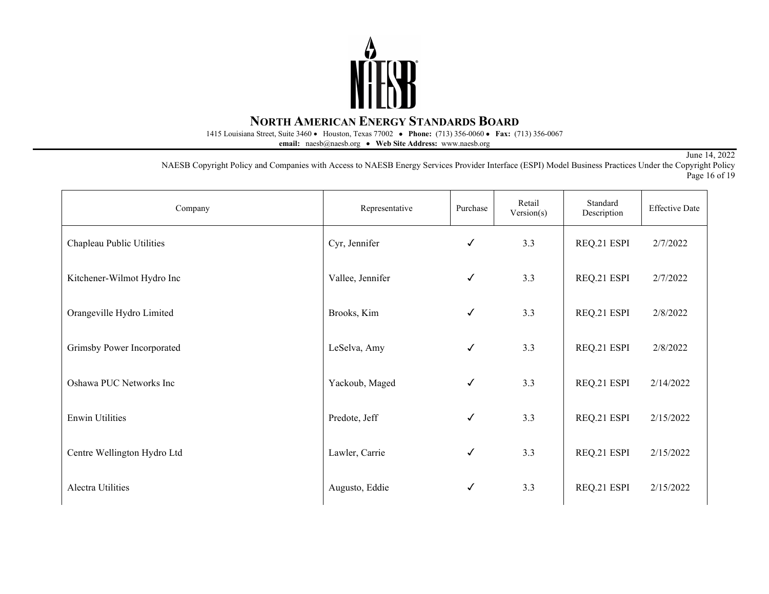

1415 Louisiana Street, Suite 3460 • Houston, Texas 77002• **Phone:** (713) 356-0060 • **Fax:** (713) 356-0067

**email:** naesb@naesb.org • **Web Site Address:** www.naesb.org

June 14, 2022

NAESB Copyright Policy and Companies with Access to NAESB Energy Services Provider Interface (ESPI) Model Business Practices Under the Copyright Policy Page 16 of 19

| Company                     | Representative   | Purchase     | Retail<br>Version(s) | Standard<br>Description | <b>Effective Date</b> |
|-----------------------------|------------------|--------------|----------------------|-------------------------|-----------------------|
| Chapleau Public Utilities   | Cyr, Jennifer    | $\checkmark$ | 3.3                  | REQ.21 ESPI             | 2/7/2022              |
| Kitchener-Wilmot Hydro Inc  | Vallee, Jennifer | $\checkmark$ | 3.3                  | REQ.21 ESPI             | 2/7/2022              |
| Orangeville Hydro Limited   | Brooks, Kim      | $\checkmark$ | 3.3                  | REQ.21 ESPI             | 2/8/2022              |
| Grimsby Power Incorporated  | LeSelva, Amy     | $\checkmark$ | 3.3                  | REQ.21 ESPI             | 2/8/2022              |
| Oshawa PUC Networks Inc     | Yackoub, Maged   | $\checkmark$ | 3.3                  | REQ.21 ESPI             | 2/14/2022             |
| <b>Enwin Utilities</b>      | Predote, Jeff    | $\checkmark$ | 3.3                  | REQ.21 ESPI             | 2/15/2022             |
| Centre Wellington Hydro Ltd | Lawler, Carrie   | $\checkmark$ | 3.3                  | REQ.21 ESPI             | 2/15/2022             |
| Alectra Utilities           | Augusto, Eddie   | $\checkmark$ | 3.3                  | REQ.21 ESPI             | 2/15/2022             |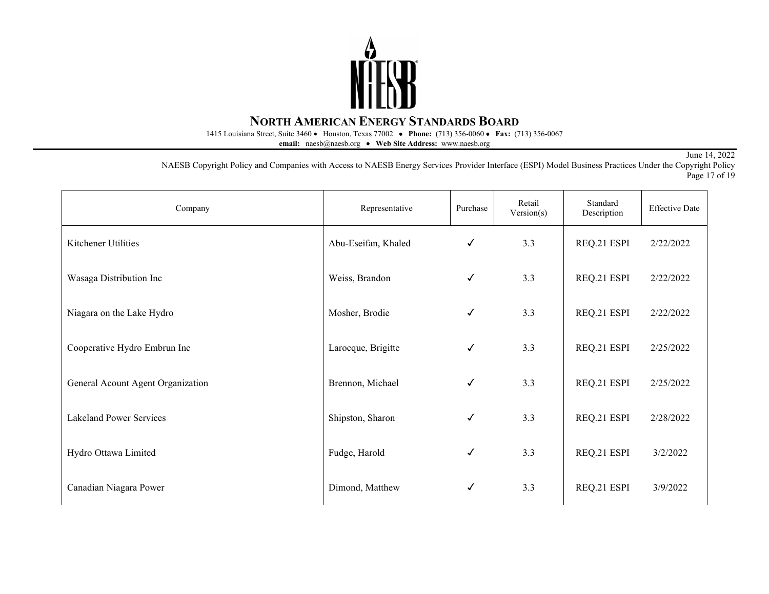

1415 Louisiana Street, Suite 3460 • Houston, Texas 77002• **Phone:** (713) 356-0060 • **Fax:** (713) 356-0067

**email:** naesb@naesb.org • **Web Site Address:** www.naesb.org

June 14, 2022

NAESB Copyright Policy and Companies with Access to NAESB Energy Services Provider Interface (ESPI) Model Business Practices Under the Copyright Policy Page 17 of 19

| Company                           | Representative      | Purchase     | Retail<br>Version(s) | Standard<br>Description | <b>Effective Date</b> |
|-----------------------------------|---------------------|--------------|----------------------|-------------------------|-----------------------|
| Kitchener Utilities               | Abu-Eseifan, Khaled | ✓            | 3.3                  | REQ.21 ESPI             | 2/22/2022             |
| Wasaga Distribution Inc           | Weiss, Brandon      | ✓            | 3.3                  | REQ.21 ESPI             | 2/22/2022             |
| Niagara on the Lake Hydro         | Mosher, Brodie      | ✓            | 3.3                  | REQ.21 ESPI             | 2/22/2022             |
| Cooperative Hydro Embrun Inc      | Larocque, Brigitte  | ✓            | 3.3                  | REQ.21 ESPI             | 2/25/2022             |
| General Acount Agent Organization | Brennon, Michael    | $\checkmark$ | 3.3                  | REQ.21 ESPI             | 2/25/2022             |
| <b>Lakeland Power Services</b>    | Shipston, Sharon    | $\checkmark$ | 3.3                  | REQ.21 ESPI             | 2/28/2022             |
| Hydro Ottawa Limited              | Fudge, Harold       | ✓            | 3.3                  | REQ.21 ESPI             | 3/2/2022              |
| Canadian Niagara Power            | Dimond, Matthew     | ✓            | 3.3                  | REQ.21 ESPI             | 3/9/2022              |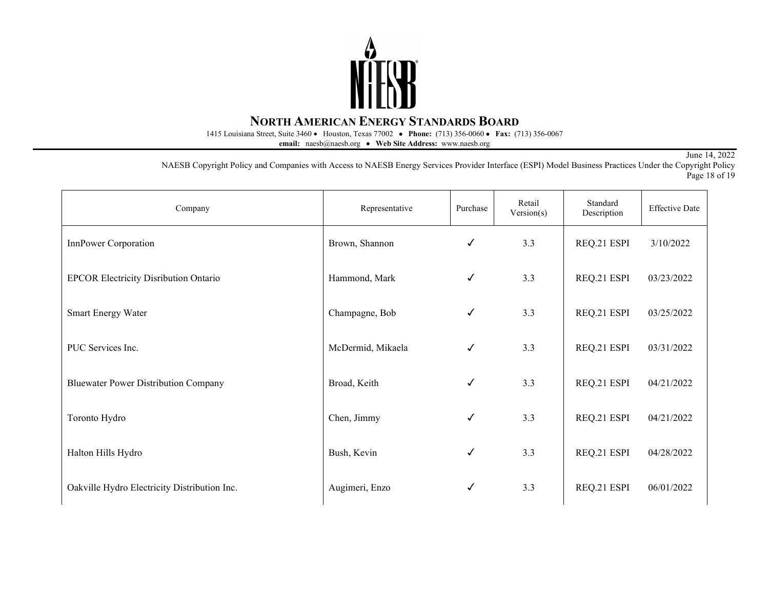

1415 Louisiana Street, Suite 3460 • Houston, Texas 77002• **Phone:** (713) 356-0060 • **Fax:** (713) 356-0067

**email:** naesb@naesb.org • **Web Site Address:** www.naesb.org

June 14, 2022

NAESB Copyright Policy and Companies with Access to NAESB Energy Services Provider Interface (ESPI) Model Business Practices Under the Copyright Policy Page 18 of 19

| Company                                      | Representative    | Purchase | Retail<br>Version(s) | Standard<br>Description | <b>Effective Date</b> |
|----------------------------------------------|-------------------|----------|----------------------|-------------------------|-----------------------|
| InnPower Corporation                         | Brown, Shannon    | ✓        | 3.3                  | REQ.21 ESPI             | 3/10/2022             |
| <b>EPCOR Electricity Disribution Ontario</b> | Hammond, Mark     | ✓        | 3.3                  | REQ.21 ESPI             | 03/23/2022            |
| Smart Energy Water                           | Champagne, Bob    | ✓        | 3.3                  | REQ.21 ESPI             | 03/25/2022            |
| PUC Services Inc.                            | McDermid, Mikaela | ✓        | 3.3                  | REQ.21 ESPI             | 03/31/2022            |
| <b>Bluewater Power Distribution Company</b>  | Broad, Keith      | ✓        | 3.3                  | REQ.21 ESPI             | 04/21/2022            |
| Toronto Hydro                                | Chen, Jimmy       | ✓        | 3.3                  | REQ.21 ESPI             | 04/21/2022            |
| Halton Hills Hydro                           | Bush, Kevin       | ✓        | 3.3                  | REQ.21 ESPI             | 04/28/2022            |
| Oakville Hydro Electricity Distribution Inc. | Augimeri, Enzo    | ✓        | 3.3                  | REQ.21 ESPI             | 06/01/2022            |